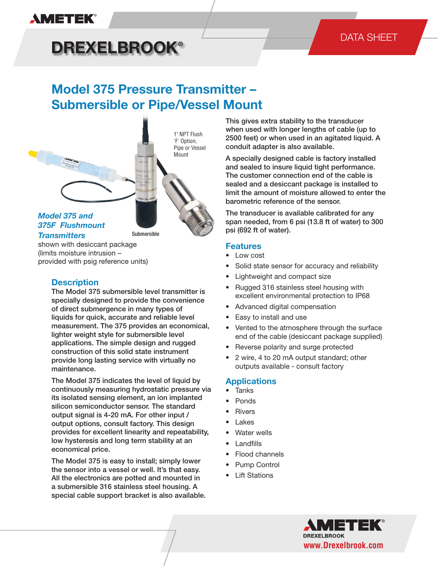#### sor into a vessel or well. It's that easy. All the electronics are potted and mounted in a submersible 316 stainless ● Standard submersible model with nose cone; 1/4-18

#### $\blacksquare$ or when used in an agitated liquid. A conduit adapter is ● Flush 1" NPT process connection option for pipe or **DREXELBROOK®**

available - consult factory

## DATA SHEET

#### **Model 375 Pressure Transmitter -Submersible or Pipe/Vessel Mount** lowed to enter the barometric reference of the sensor. ● Rivers l oln  $\mathbf{P} = \mathbf{P}$  $\mathbf{p}$  versions in Fig.

 $\frac{1}{2}$  wire, 4 to 20 mA outputs standard; outputs standard; outputs standard; outputs standard; outputs standard; outputs standard; outputs standard; outputs standard; outputs standard; outputs standard; outputs standa

 $\overline{\phantom{a}}$ 



 $S_{\text{limit}}$  mointum intrusion (limits moisture intrusion – provided with psig reference units) shown with desiccant package

### **Description**

excellent environmental protection to IP68 The Model 375 submersible level transmitter is specially designed to provide the convenience of direct submergence in many types of liquids for quick, accurate and reliable level measurement. The 375 provides an economical, lighter weight style for submersible level applications. The simple design and rugged construction of this solid state instrument provide long lasting service with virtually no maintenance.

> The Model 375 indicates the level of liquid by continuously measuring hydrostatic pressure via its isolated sensing element, an ion implanted silicon semiconductor sensor. The standard output signal is 4-20 mA. For other input / output options, consult factory. This design provides for excellent linearity and repeatability, low hysteresis and long term stability at an economical price.

The Model 375 is easy to install; simply lower the sensor into a vessel or well. It's that easy. All the electronics are potted and mounted in a submersible 316 stainless steel housing. A special cable support bracket is also available.

This gives extra stability to the transducer when used with longer lengths of cable (up to 2500 feet) or when used in an agitated liquid. A conduit adapter is also available.

> A specially designed cable is factory installed and sealed to insure liquid tight performance. The customer connection end of the cable is sealed and a desiccant package is installed to limit the amount of moisture allowed to enter the barometric reference of the sensor.

The transducer is available calibrated for any span needed, from 6 psi (13.8 ft of water) to 300 psi (692 ft of water).

#### **Features**

- Low cost
- Solid state sensor for accuracy and reliability
- Lightweight and compact size *Specifi cations are subject to change without notice. Visit our Web site for the most up-to-date information.* www.ametekpmt.com
	- Rugged 316 stainless steel housing with
	- Advanced digital compensation
	- Easy to install and use
	- Vented to the atmosphere through the surface end of the cable (desiccant package supplied)
	- Reverse polarity and surge protected
	- 2 wire, 4 to 20 mA output standard; other outputs available - consult factory

#### **Applications**

- **Tanks**
- **Ponds**
- **Rivers**
- **Lakes**
- Water wells
- **Landfills**
- Flood channels
- Pump Control
- **Lift Stations**

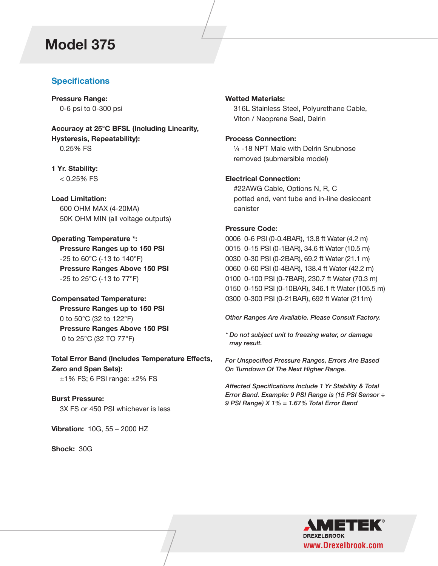# **Model 375**

## **Specifications**

**Pressure Range:**  0-6 psi to 0-300 psi

**Accuracy at 25°C BFSL (Including Linearity, Hysteresis, Repeatability):**  0.25% FS

**1 Yr. Stability:**   $< 0.25%$  FS

**Load Limitation:** 600 OHM MAX (4-20MA) 50K OHM MIN (all voltage outputs)

**Operating Temperature \*: Pressure Ranges up to 150 PSI** -25 to 60°C (-13 to 140°F) **Pressure Ranges Above 150 PSI** -25 to 25°C (-13 to 77°F)

**Compensated Temperature: Pressure Ranges up to 150 PSI** 0 to 50°C (32 to 122°F) **Pressure Ranges Above 150 PSI** 0 to 25°C (32 TO 77°F)

**Total Error Band (Includes Temperature Effects, Zero and Span Sets):**  $±1\%$  FS; 6 PSI range:  $±2\%$  FS

**Burst Pressure:**  3X FS or 450 PSI whichever is less

**Vibration:** 10G, 55 – 2000 HZ

**Shock:** 30G

#### **Wetted Materials:**

 316L Stainless Steel, Polyurethane Cable, Viton / Neoprene Seal, Delrin

#### **Process Connection:**

 ¼ -18 NPT Male with Delrin Snubnose removed (submersible model)

#### **Electrical Connection:**

 #22AWG Cable, Options N, R, C potted end, vent tube and in-line desiccant canister

#### **Pressure Code:**

0006 0-6 PSI (0-0.4BAR), 13.8 ft Water (4.2 m) 0015 0-15 PSI (0-1BAR), 34.6 ft Water (10.5 m) 0030 0-30 PSI (0-2BAR), 69.2 ft Water (21.1 m) 0060 0-60 PSI (0-4BAR), 138.4 ft Water (42.2 m) 0100 0-100 PSI (0-7BAR), 230.7 ft Water (70.3 m) 0150 0-150 PSI (0-10BAR), 346.1 ft Water (105.5 m) 0300 0-300 PSI (0-21BAR), 692 ft Water (211m)

*Other Ranges Are Available. Please Consult Factory.*

*\* Do not subject unit to freezing water, or damage may result.*

*For Unspecified Pressure Ranges, Errors Are Based On Turndown Of The Next Higher Range.*

*Affected Specifications Include 1 Yr Stability & Total Error Band. Example: 9 PSI Range is (15 PSI Sensor ÷ 9 PSI Range) X 1% = 1.67% Total Error Band*

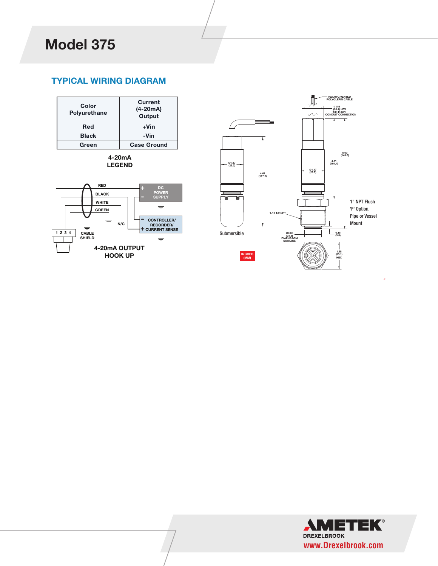## **TYPICAL WIRING DIAGRAM** TYPICAL WIRING DIAGRAM



**4-20mA LEGEND**





 $0.1000$  PSI (30.3 m), 230.7 feet water (70.3 m), 230.7 feet water (70.3 m), 230.7 feet water (70.3 m), 230.3 m), 230.3 m), 230.3 m), 230.3 m), 230.7 feet water (70.3 m), 230.7 feet water (70.3 m), 230.3 m), 230.3 m), 230

*Other ranges are available – please consult factory.*